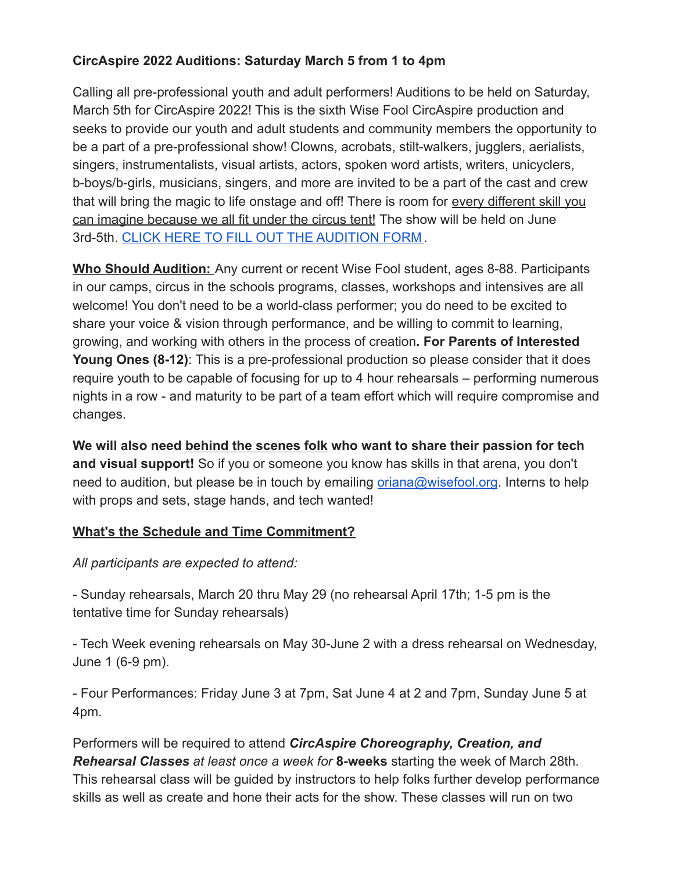# **CircAspire 2022 Auditions: Saturday March 5 from 1 to 4pm**

Calling all pre-professional youth and adult performers! Auditions to be held on Saturday, March 5th for CircAspire 2022! This is the sixth Wise Fool CircAspire production and seeks to provide our youth and adult students and community members the opportunity to be a part of a pre-professional show! Clowns, acrobats, stilt-walkers, jugglers, aerialists, singers, instrumentalists, visual artists, actors, spoken word artists, writers, unicyclers, b-boys/b-girls, musicians, singers, and more are invited to be a part of the cast and crew that will bring the magic to life onstage and off! There is room for every different skill you can imagine because we all fit under the circus tent! The show will be held on June 3rd-5th. [CLICK HERE TO FILL OUT](https://docs.google.com/forms/d/e/1FAIpQLSfu8q9P_ZPcobzt5d_J1Ai-dykmynktCrVC9ZPZFRaZU7wyUg/viewform?usp=sf_link) THE AUDITION FORM .

**Who Should Audition:** Any current or recent Wise Fool student, ages 8-88. Participants in our camps, circus in the schools programs, classes, workshops and intensives are all welcome! You don't need to be a world-class performer; you do need to be excited to share your voice & vision through performance, and be willing to commit to learning, growing, and working with others in the process of creation**. For Parents of Interested Young Ones (8-12)**: This is a pre-professional production so please consider that it does require youth to be capable of focusing for up to 4 hour rehearsals – performing numerous nights in a row - and maturity to be part of a team effort which will require compromise and changes.

**We will also need behind the scenes folk who want to share their passion for tech and visual support!** So if you or someone you know has skills in that arena, you don't need to audition, but please be in touch by emailing [oriana@wisefool.org](mailto:oriana@wisefool.org). Interns to help with props and sets, stage hands, and tech wanted!

# **What's the Schedule and Time Commitment?**

*All participants are expected to attend:*

- Sunday rehearsals, March 20 thru May 29 (no rehearsal April 17th; 1-5 pm is the tentative time for Sunday rehearsals)

- Tech Week evening rehearsals on May 30-June 2 with a dress rehearsal on Wednesday, June 1 (6-9 pm).

- Four Performances: Friday June 3 at 7pm, Sat June 4 at 2 and 7pm, Sunday June 5 at 4pm.

Performers will be required to attend *CircAspire Choreography, Creation, and Rehearsal Classes at least once a week for* **8-weeks** starting the week of March 28th. This rehearsal class will be guided by instructors to help folks further develop performance skills as well as create and hone their acts for the show. These classes will run on two